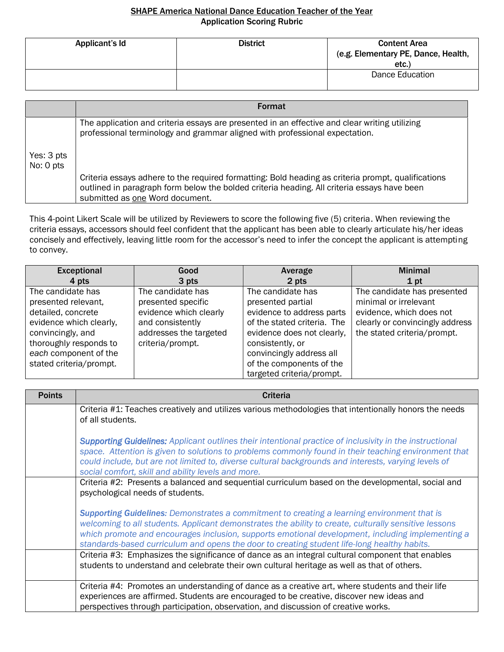## SHAPE America National Dance Education Teacher of the Year Application Scoring Rubric

| Applicant's Id | <b>District</b> | <b>Content Area</b><br>(e.g. Elementary PE, Dance, Health,<br>etc. |
|----------------|-----------------|--------------------------------------------------------------------|
|                |                 | Dance Education                                                    |

|                         | <b>Format</b>                                                                                                                                                                                                                        |
|-------------------------|--------------------------------------------------------------------------------------------------------------------------------------------------------------------------------------------------------------------------------------|
|                         | The application and criteria essays are presented in an effective and clear writing utilizing<br>professional terminology and grammar aligned with professional expectation.                                                         |
| Yes: 3 pts<br>No: 0 pts |                                                                                                                                                                                                                                      |
|                         | Criteria essays adhere to the required formatting: Bold heading as criteria prompt, qualifications<br>outlined in paragraph form below the bolded criteria heading. All criteria essays have been<br>submitted as one Word document. |

This 4-point Likert Scale will be utilized by Reviewers to score the following five (5) criteria. When reviewing the criteria essays, accessors should feel confident that the applicant has been able to clearly articulate his/her ideas concisely and effectively, leaving little room for the accessor's need to infer the concept the applicant is attempting to convey.

| <b>Exceptional</b>                                                                                                                                                                           | Good                                                                                                                                | Average                                                                                                                                                                                                                                   | <b>Minimal</b>                                                                                                                                     |
|----------------------------------------------------------------------------------------------------------------------------------------------------------------------------------------------|-------------------------------------------------------------------------------------------------------------------------------------|-------------------------------------------------------------------------------------------------------------------------------------------------------------------------------------------------------------------------------------------|----------------------------------------------------------------------------------------------------------------------------------------------------|
| 4 pts                                                                                                                                                                                        | 3 pts                                                                                                                               | 2 pts                                                                                                                                                                                                                                     | 1 pt                                                                                                                                               |
| The candidate has<br>presented relevant,<br>detailed, concrete<br>evidence which clearly,<br>convincingly, and<br>thoroughly responds to<br>each component of the<br>stated criteria/prompt. | The candidate has<br>presented specific<br>evidence which clearly<br>and consistently<br>addresses the targeted<br>criteria/prompt. | The candidate has<br>presented partial<br>evidence to address parts<br>of the stated criteria. The<br>evidence does not clearly,<br>consistently, or<br>convincingly address all<br>of the components of the<br>targeted criteria/prompt. | The candidate has presented<br>minimal or irrelevant<br>evidence, which does not<br>clearly or convincingly address<br>the stated criteria/prompt. |

| <b>Points</b> | <b>Criteria</b>                                                                                                                                                                                                                                                                                                                                                                                                |
|---------------|----------------------------------------------------------------------------------------------------------------------------------------------------------------------------------------------------------------------------------------------------------------------------------------------------------------------------------------------------------------------------------------------------------------|
|               | Criteria #1: Teaches creatively and utilizes various methodologies that intentionally honors the needs<br>of all students.                                                                                                                                                                                                                                                                                     |
|               | <b>Supporting Guidelines:</b> Applicant outlines their intentional practice of inclusivity in the instructional<br>space. Attention is given to solutions to problems commonly found in their teaching environment that<br>could include, but are not limited to, diverse cultural backgrounds and interests, varying levels of<br>social comfort, skill and ability levels and more.                          |
|               | Criteria #2: Presents a balanced and sequential curriculum based on the developmental, social and<br>psychological needs of students.                                                                                                                                                                                                                                                                          |
|               | <b>Supporting Guidelines:</b> Demonstrates a commitment to creating a learning environment that is<br>welcoming to all students. Applicant demonstrates the ability to create, culturally sensitive lessons<br>which promote and encourages inclusion, supports emotional development, including implementing a<br>standards-based curriculum and opens the door to creating student life-long healthy habits. |
|               | Criteria #3: Emphasizes the significance of dance as an integral cultural component that enables<br>students to understand and celebrate their own cultural heritage as well as that of others.                                                                                                                                                                                                                |
|               | Criteria #4: Promotes an understanding of dance as a creative art, where students and their life<br>experiences are affirmed. Students are encouraged to be creative, discover new ideas and<br>perspectives through participation, observation, and discussion of creative works.                                                                                                                             |